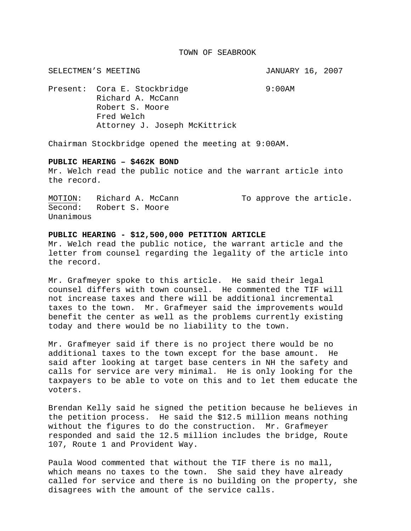## TOWN OF SEABROOK

SELECTMEN'S MEETING **SELECTMEN'S** SELECTMEN'S MEETING

Present: Cora E. Stockbridge 9:00AM Richard A. McCann Robert S. Moore Fred Welch Attorney J. Joseph McKittrick

Chairman Stockbridge opened the meeting at 9:00AM.

## **PUBLIC HEARING – \$462K BOND**

Mr. Welch read the public notice and the warrant article into the record.

MOTION: Richard A. McCann To approve the article. Second: Robert S. Moore Unanimous

## **PUBLIC HEARING - \$12,500,000 PETITION ARTICLE**

Mr. Welch read the public notice, the warrant article and the letter from counsel regarding the legality of the article into the record.

Mr. Grafmeyer spoke to this article. He said their legal counsel differs with town counsel. He commented the TIF will not increase taxes and there will be additional incremental taxes to the town. Mr. Grafmeyer said the improvements would benefit the center as well as the problems currently existing today and there would be no liability to the town.

Mr. Grafmeyer said if there is no project there would be no additional taxes to the town except for the base amount. He said after looking at target base centers in NH the safety and calls for service are very minimal. He is only looking for the taxpayers to be able to vote on this and to let them educate the voters.

Brendan Kelly said he signed the petition because he believes in the petition process. He said the \$12.5 million means nothing without the figures to do the construction. Mr. Grafmeyer responded and said the 12.5 million includes the bridge, Route 107, Route 1 and Provident Way.

Paula Wood commented that without the TIF there is no mall, which means no taxes to the town. She said they have already called for service and there is no building on the property, she disagrees with the amount of the service calls.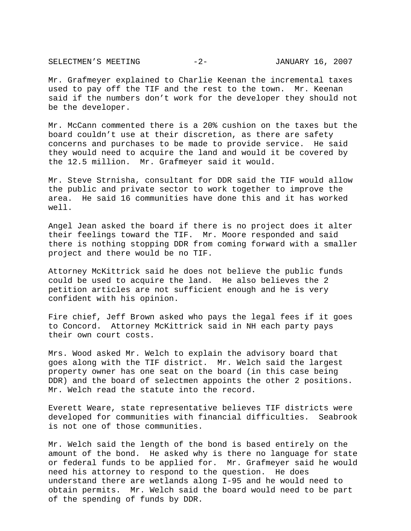SELECTMEN'S MEETING  $-2-$  JANUARY 16, 2007

Mr. Grafmeyer explained to Charlie Keenan the incremental taxes used to pay off the TIF and the rest to the town. Mr. Keenan said if the numbers don't work for the developer they should not be the developer.

Mr. McCann commented there is a 20% cushion on the taxes but the board couldn't use at their discretion, as there are safety concerns and purchases to be made to provide service. He said they would need to acquire the land and would it be covered by the 12.5 million. Mr. Grafmeyer said it would.

Mr. Steve Strnisha, consultant for DDR said the TIF would allow the public and private sector to work together to improve the area. He said 16 communities have done this and it has worked well.

Angel Jean asked the board if there is no project does it alter their feelings toward the TIF. Mr. Moore responded and said there is nothing stopping DDR from coming forward with a smaller project and there would be no TIF.

Attorney McKittrick said he does not believe the public funds could be used to acquire the land. He also believes the 2 petition articles are not sufficient enough and he is very confident with his opinion.

Fire chief, Jeff Brown asked who pays the legal fees if it goes to Concord. Attorney McKittrick said in NH each party pays their own court costs.

Mrs. Wood asked Mr. Welch to explain the advisory board that goes along with the TIF district. Mr. Welch said the largest property owner has one seat on the board (in this case being DDR) and the board of selectmen appoints the other 2 positions. Mr. Welch read the statute into the record.

Everett Weare, state representative believes TIF districts were developed for communities with financial difficulties. Seabrook is not one of those communities.

Mr. Welch said the length of the bond is based entirely on the amount of the bond. He asked why is there no language for state or federal funds to be applied for. Mr. Grafmeyer said he would need his attorney to respond to the question. He does understand there are wetlands along I-95 and he would need to obtain permits. Mr. Welch said the board would need to be part of the spending of funds by DDR.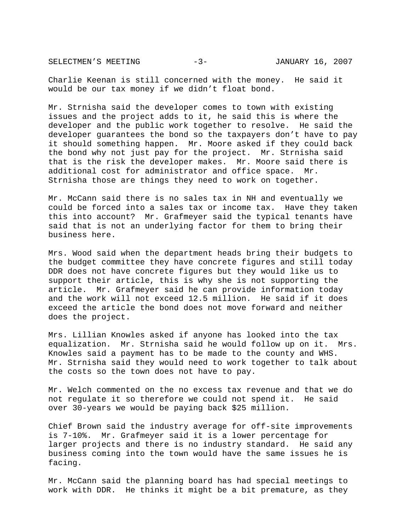SELECTMEN'S MEETING -3- JANUARY 16, 2007

Charlie Keenan is still concerned with the money. He said it would be our tax money if we didn't float bond.

Mr. Strnisha said the developer comes to town with existing issues and the project adds to it, he said this is where the developer and the public work together to resolve. He said the developer guarantees the bond so the taxpayers don't have to pay it should something happen. Mr. Moore asked if they could back the bond why not just pay for the project. Mr. Strnisha said that is the risk the developer makes. Mr. Moore said there is additional cost for administrator and office space. Mr. Strnisha those are things they need to work on together.

Mr. McCann said there is no sales tax in NH and eventually we could be forced into a sales tax or income tax. Have they taken this into account? Mr. Grafmeyer said the typical tenants have said that is not an underlying factor for them to bring their business here.

Mrs. Wood said when the department heads bring their budgets to the budget committee they have concrete figures and still today DDR does not have concrete figures but they would like us to support their article, this is why she is not supporting the article. Mr. Grafmeyer said he can provide information today and the work will not exceed 12.5 million. He said if it does exceed the article the bond does not move forward and neither does the project.

Mrs. Lillian Knowles asked if anyone has looked into the tax equalization. Mr. Strnisha said he would follow up on it. Mrs. Knowles said a payment has to be made to the county and WHS. Mr. Strnisha said they would need to work together to talk about the costs so the town does not have to pay.

Mr. Welch commented on the no excess tax revenue and that we do not regulate it so therefore we could not spend it. He said over 30-years we would be paying back \$25 million.

Chief Brown said the industry average for off-site improvements is 7-10%. Mr. Grafmeyer said it is a lower percentage for larger projects and there is no industry standard. He said any business coming into the town would have the same issues he is facing.

Mr. McCann said the planning board has had special meetings to work with DDR. He thinks it might be a bit premature, as they